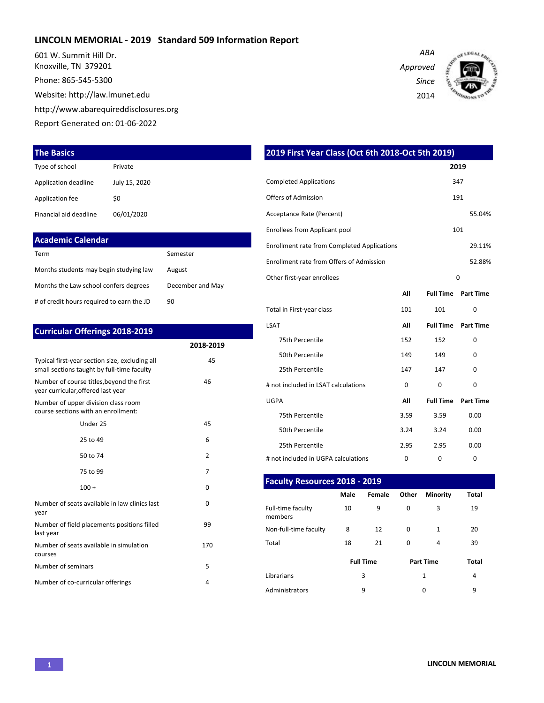#### **LINCOLN MEMORIAL - 2019 Standard 509 Information Report**

601 W. Summit Hill Dr. Knoxville, TN 379201

Phone: 865-545-5300

Website: http://law.lmunet.edu

http://www.abarequireddisclosures.org

Report Generated on: 01-06-2022

#### **The Basics**

| Type of school         | Private       |
|------------------------|---------------|
| Application deadline   | July 15, 2020 |
| Application fee        | \$0           |
| Financial aid deadline | 06/01/2020    |

| Academic Calendar                         |                  |
|-------------------------------------------|------------------|
| Term                                      | Semester         |
| Months students may begin studying law    | August           |
| Months the Law school confers degrees     | December and May |
| # of credit hours required to earn the JD | 90               |

| <b>Curricular Offerings 2018-2019</b>                                                        |                |
|----------------------------------------------------------------------------------------------|----------------|
|                                                                                              | 2018-2019      |
| Typical first-year section size, excluding all<br>small sections taught by full-time faculty | 45             |
| Number of course titles, beyond the first<br>year curricular, offered last year              | 46             |
| Number of upper division class room<br>course sections with an enrollment:                   |                |
| Under 25                                                                                     | 45             |
| 25 to 49                                                                                     | 6              |
| 50 to 74                                                                                     | $\overline{2}$ |
| 75 to 99                                                                                     | 7              |
| $100 +$                                                                                      | <sup>0</sup>   |
| Number of seats available in law clinics last<br>year                                        | 0              |
| Number of field placements positions filled<br>last year                                     | 99             |
| Number of seats available in simulation<br>courses                                           | 170            |
| Number of seminars                                                                           | 5              |
| Number of co-curricular offerings                                                            | 4              |

| 2019 First Year Class (Oct 6th 2018-Oct 5th 2019)  |      |                  |                  |  |  |  |  |  |  |  |
|----------------------------------------------------|------|------------------|------------------|--|--|--|--|--|--|--|
|                                                    | 2019 |                  |                  |  |  |  |  |  |  |  |
| <b>Completed Applications</b>                      |      |                  | 347              |  |  |  |  |  |  |  |
| <b>Offers of Admission</b>                         |      |                  | 191              |  |  |  |  |  |  |  |
| Acceptance Rate (Percent)                          |      |                  | 55.04%           |  |  |  |  |  |  |  |
| <b>Enrollees from Applicant pool</b>               |      |                  | 101              |  |  |  |  |  |  |  |
| <b>Enrollment rate from Completed Applications</b> |      |                  | 29.11%           |  |  |  |  |  |  |  |
| Enrollment rate from Offers of Admission           |      |                  | 52.88%           |  |  |  |  |  |  |  |
| Other first-year enrollees                         |      |                  | 0                |  |  |  |  |  |  |  |
|                                                    | All  | <b>Full Time</b> | <b>Part Time</b> |  |  |  |  |  |  |  |
| Total in First-year class                          | 101  | 101              | 0                |  |  |  |  |  |  |  |
| <b>LSAT</b>                                        | All  | <b>Full Time</b> | <b>Part Time</b> |  |  |  |  |  |  |  |
| 75th Percentile                                    | 152  | 152              | 0                |  |  |  |  |  |  |  |
| 50th Percentile                                    | 149  | 149              | 0                |  |  |  |  |  |  |  |
| 25th Percentile                                    | 147  | 147              | 0                |  |  |  |  |  |  |  |
| # not included in LSAT calculations                | 0    | 0                | 0                |  |  |  |  |  |  |  |
| <b>UGPA</b>                                        | All  | <b>Full Time</b> | <b>Part Time</b> |  |  |  |  |  |  |  |
| 75th Percentile                                    | 3.59 | 3.59             | 0.00             |  |  |  |  |  |  |  |
| 50th Percentile                                    | 3.24 | 3.24             | 0.00             |  |  |  |  |  |  |  |
| 25th Percentile                                    | 2.95 | 2.95             | 0.00             |  |  |  |  |  |  |  |
| # not included in UGPA calculations                | 0    | 0                | 0                |  |  |  |  |  |  |  |

| Faculty Resources 2018 - 2019 |             |                  |          |                  |              |  |  |  |  |  |  |  |  |
|-------------------------------|-------------|------------------|----------|------------------|--------------|--|--|--|--|--|--|--|--|
|                               | <b>Male</b> | Female           | Other    | <b>Minority</b>  | Total        |  |  |  |  |  |  |  |  |
| Full-time faculty<br>members  | 10          | 9                | $\Omega$ | 3                | 19           |  |  |  |  |  |  |  |  |
| Non-full-time faculty         | 8           | 12               | $\Omega$ | $\mathbf{1}$     | 20           |  |  |  |  |  |  |  |  |
| Total                         | 18          | 21               | $\Omega$ | 4                | 39           |  |  |  |  |  |  |  |  |
|                               |             | <b>Full Time</b> |          | <b>Part Time</b> | <b>Total</b> |  |  |  |  |  |  |  |  |
| Librarians                    |             | 3                |          | 1                | 4            |  |  |  |  |  |  |  |  |
| Administrators                |             | 9                |          | 0                | 9            |  |  |  |  |  |  |  |  |

*Approved Since*

*ABA*

2014

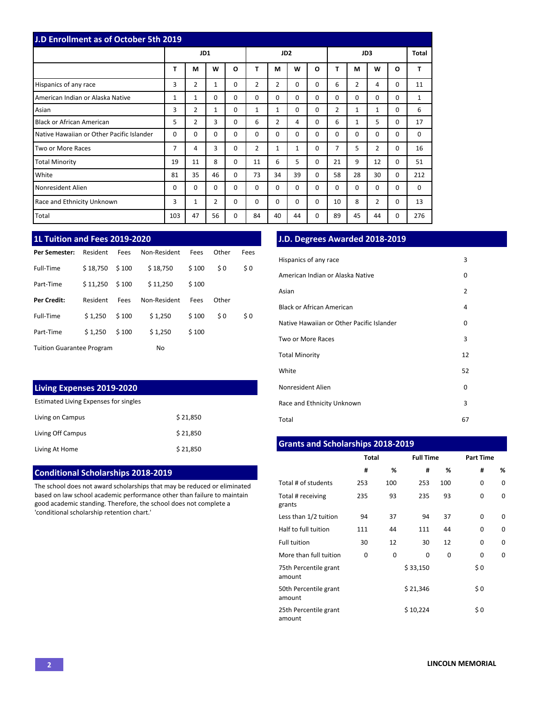| <b>J.D Enrollment as of October 5th 2019</b> |          |                |              |          |                 |                |              |          |                |              |                |          |              |
|----------------------------------------------|----------|----------------|--------------|----------|-----------------|----------------|--------------|----------|----------------|--------------|----------------|----------|--------------|
|                                              | JD1      |                |              |          | JD <sub>2</sub> |                |              |          | JD3            |              |                |          | <b>Total</b> |
|                                              | т        | M              | W            | O        | т               | М              | W            | O        | т              | M            | W              | O        | т            |
| Hispanics of any race                        | 3        | 2              | $\mathbf{1}$ | 0        | 2               | $\overline{2}$ | $\Omega$     | $\Omega$ | 6              | 2            | 4              | $\Omega$ | 11           |
| American Indian or Alaska Native             | 1        | 1              | 0            | 0        | $\Omega$        | 0              | $\Omega$     | $\Omega$ | 0              | $\Omega$     | $\Omega$       | 0        | 1            |
| Asian                                        | 3        | 2              | $\mathbf{1}$ | $\Omega$ | 1               | 1              | $\Omega$     | $\Omega$ | $\overline{2}$ | $\mathbf{1}$ | 1              | $\Omega$ | 6            |
| <b>Black or African American</b>             | 5.       | $\overline{2}$ | 3            | $\Omega$ | 6               | 2              | 4            | $\Omega$ | 6              | $\mathbf{1}$ | 5              | $\Omega$ | 17           |
| Native Hawaiian or Other Pacific Islander    | $\Omega$ | $\Omega$       | $\Omega$     | $\Omega$ | $\Omega$        | $\Omega$       | $\Omega$     | $\Omega$ | 0              | $\Omega$     | $\Omega$       | $\Omega$ | $\Omega$     |
| Two or More Races                            | 7        | 4              | 3            | 0        | $\overline{2}$  | 1              | $\mathbf{1}$ | $\Omega$ | 7              | 5            | $\overline{2}$ | $\Omega$ | 16           |
| <b>Total Minority</b>                        | 19       | 11             | 8            | 0        | 11              | 6              | 5            | $\Omega$ | 21             | 9            | 12             | 0        | 51           |
| White                                        | 81       | 35             | 46           | $\Omega$ | 73              | 34             | 39           | $\Omega$ | 58             | 28           | 30             | 0        | 212          |
| Nonresident Alien                            | $\Omega$ | $\Omega$       | 0            | 0        | $\Omega$        | 0              | $\Omega$     | $\Omega$ | 0              | $\Omega$     | $\Omega$       | $\Omega$ | $\Omega$     |
| Race and Ethnicity Unknown                   | 3        | $\mathbf{1}$   | 2            | $\Omega$ | $\Omega$        | $\Omega$       | $\Omega$     | $\Omega$ | 10             | 8            | 2              | $\Omega$ | 13           |
| Total                                        | 103      | 47             | 56           | 0        | 84              | 40             | 44           | $\Omega$ | 89             | 45           | 44             | 0        | 276          |

# **1L Tuition and Fees 2019-2020**

| Per Semester:                    | Resident | Fees  | Non-Resident | Fees  | Other | Fees |
|----------------------------------|----------|-------|--------------|-------|-------|------|
| Full-Time                        | \$18,750 | \$100 | \$18,750     | \$100 | \$0   | \$0  |
| Part-Time                        | \$11,250 | \$100 | \$11,250     | \$100 |       |      |
| Per Credit:                      | Resident | Fees  | Non-Resident | Fees  | Other |      |
| Full-Time                        | \$1.250  | \$100 | \$1,250      | \$100 | \$0   | \$0  |
| Part-Time                        | \$1.250  | \$100 | \$1,250      | \$100 |       |      |
| <b>Tuition Guarantee Program</b> |          |       | No           |       |       |      |

## **Living Expenses 2019-2020**

Estimated Living Expenses for singles

| Living on Campus  | \$21,850 |
|-------------------|----------|
| Living Off Campus | \$21,850 |
| Living At Home    | \$21,850 |

#### **Conditional Scholarships 2018-2019**

The school does not award scholarships that may be reduced or eliminated based on law school academic performance other than failure to maintain good academic standing. Therefore, the school does not complete a 'conditional scholarship retention chart.'

## **J.D. Degrees Awarded 2018-2019**

| Hispanics of any race                     | 3              |
|-------------------------------------------|----------------|
| American Indian or Alaska Native          | 0              |
| Asian                                     | $\overline{2}$ |
| Black or African American                 | 4              |
| Native Hawaiian or Other Pacific Islander | 0              |
| Two or More Races                         | 3              |
| <b>Total Minority</b>                     | 12             |
| White                                     | 52             |
| Nonresident Alien                         | 0              |
| Race and Ethnicity Unknown                | 3              |
| Total                                     | 67             |

### **Grants and Scholarships 2018-2019**

|                                 | <b>Total</b> |     | <b>Full Time</b> |     | <b>Part Time</b> |   |  |  |
|---------------------------------|--------------|-----|------------------|-----|------------------|---|--|--|
|                                 | #            | %   | #                | %   | #                | % |  |  |
| Total # of students             | 253          | 100 | 253              | 100 | 0                | 0 |  |  |
| Total # receiving<br>grants     | 235          | 93  | 235              | 93  | 0                | 0 |  |  |
| Less than 1/2 tuition           | 94           | 37  | 94               | 37  | $\Omega$         | 0 |  |  |
| Half to full tuition            | 111          | 44  | 111              | 44  | 0                | 0 |  |  |
| <b>Full tuition</b>             | 30           | 12  | 30               | 12  | 0                | 0 |  |  |
| More than full tuition          | 0            | 0   | 0                | 0   | 0                | 0 |  |  |
| 75th Percentile grant<br>amount |              |     | \$33,150         |     | \$0              |   |  |  |
| 50th Percentile grant<br>amount |              |     | \$21,346         |     | \$0              |   |  |  |
| 25th Percentile grant<br>amount |              |     | \$10,224         |     | \$0              |   |  |  |